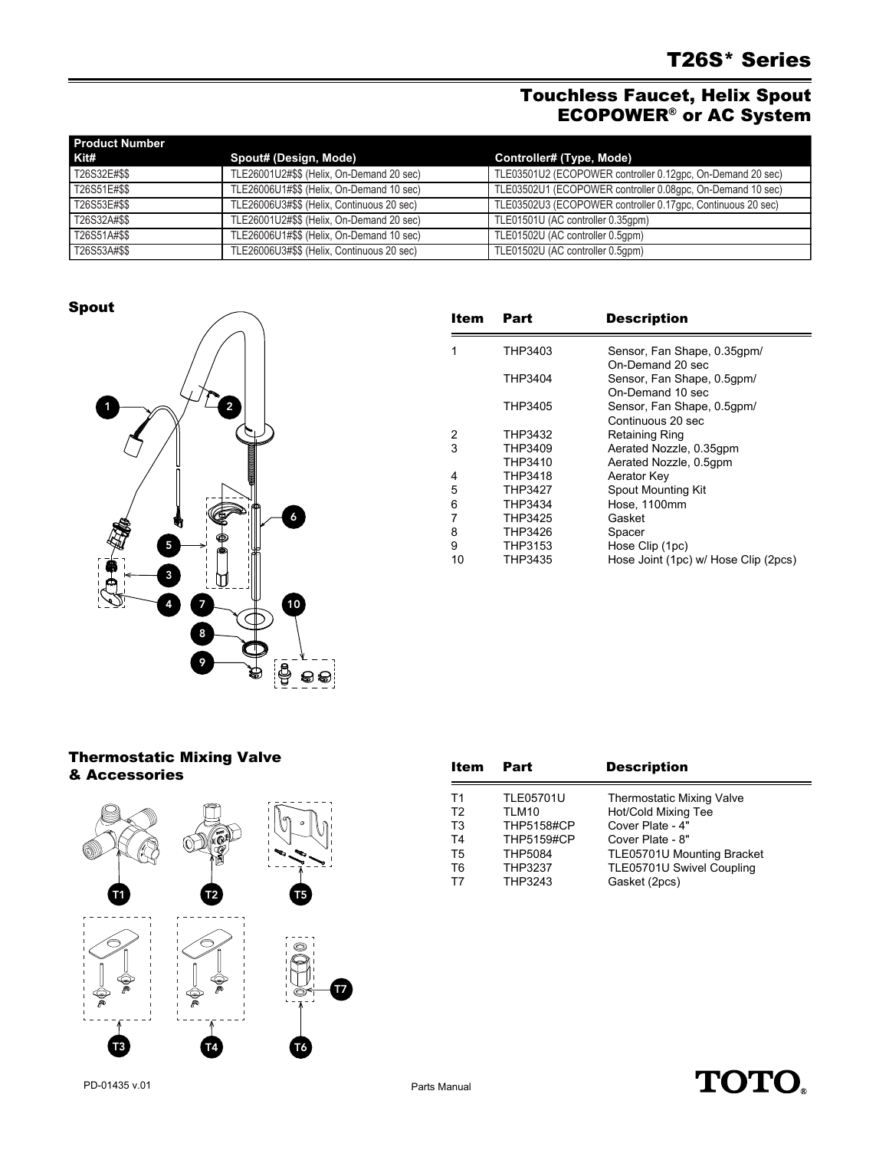## Touchless Faucet, Helix Spout ECOPOWER® or AC System

| <b>Product Number</b> |                                            |                                                             |
|-----------------------|--------------------------------------------|-------------------------------------------------------------|
| Kit#                  | Spout# (Design, Mode)                      | Controller# (Type, Mode)                                    |
| T26S32E#\$\$          | TLE26001U2#\$\$ (Helix, On-Demand 20 sec)  | TLE03501U2 (ECOPOWER controller 0.12gpc, On-Demand 20 sec)  |
| T26S51E#\$\$          | TLE26006U1#\$\$ (Helix, On-Demand 10 sec)  | TLE03502U1 (ECOPOWER controller 0.08gpc, On-Demand 10 sec)  |
| T26S53E#\$\$          | TLE26006U3#\$\$ (Helix, Continuous 20 sec) | TLE03502U3 (ECOPOWER controller 0.17gpc, Continuous 20 sec) |
| T26S32A#\$\$          | TLE26001U2#\$\$ (Helix, On-Demand 20 sec)  | TLE01501U (AC controller 0.35qpm)                           |
| T26S51A#\$\$          | TLE26006U1#\$\$ (Helix, On-Demand 10 sec)  | TLE01502U (AC controller 0.5qpm)                            |
| T26S53A#\$\$          | TLE26006U3#\$\$ (Helix, Continuous 20 sec) | TLE01502U (AC controller 0.5qpm)                            |

Spout



| Item | Part    | <b>Description</b>                   |
|------|---------|--------------------------------------|
| 1    | THP3403 | Sensor, Fan Shape, 0.35qpm/          |
|      |         | On-Demand 20 sec                     |
|      | THP3404 | Sensor, Fan Shape, 0.5gpm/           |
|      |         | On-Demand 10 sec                     |
|      | THP3405 | Sensor, Fan Shape, 0.5qpm/           |
|      |         | Continuous 20 sec                    |
| 2    | THP3432 | Retaining Ring                       |
| 3    | THP3409 | Aerated Nozzle, 0.35gpm              |
|      | THP3410 | Aerated Nozzle, 0.5qpm               |
| 4    | THP3418 | Aerator Key                          |
| 5    | THP3427 | Spout Mounting Kit                   |
| 6    | THP3434 | Hose, 1100mm                         |
| 7    | THP3425 | Gasket                               |
| 8    | THP3426 | Spacer                               |
| 9    | THP3153 | Hose Clip (1pc)                      |
| 10   | THP3435 | Hose Joint (1pc) w/ Hose Clip (2pcs) |

## Thermostatic Mixing Valve & Accessories



| Item           | Part              | <b>Description</b>               |
|----------------|-------------------|----------------------------------|
| T1             | <b>TLE05701U</b>  | <b>Thermostatic Mixing Valve</b> |
| T <sub>2</sub> | TLM10             | Hot/Cold Mixing Tee              |
| T <sub>3</sub> | <b>THP5158#CP</b> | Cover Plate - 4"                 |
| T <sub>4</sub> | <b>THP5159#CP</b> | Cover Plate - 8"                 |
| T <sub>5</sub> | <b>THP5084</b>    | TLE05701U Mounting Bracket       |
| T <sub>6</sub> | <b>THP3237</b>    | TLE05701U Swivel Coupling        |
| T7             | THP3243           | Gasket (2pcs)                    |